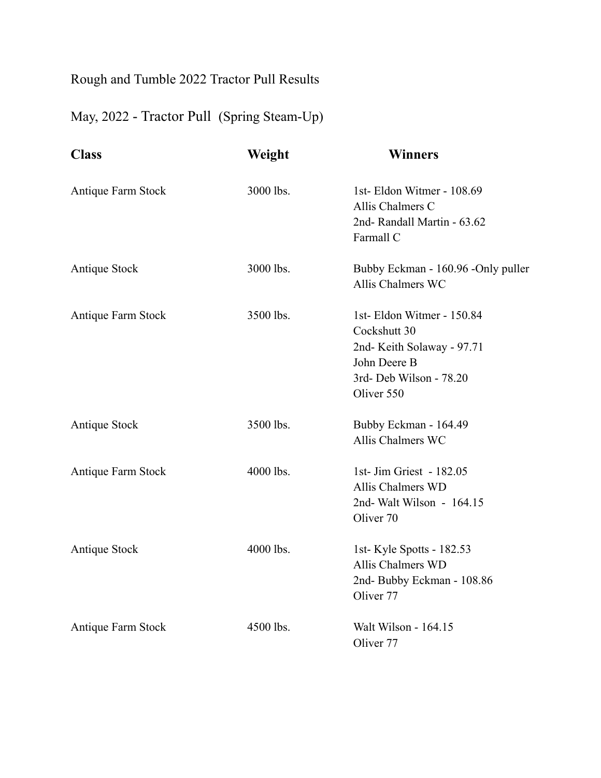## Rough and Tumble 2022 Tractor Pull Results

May, 2022 - Tractor Pull (Spring Steam-Up)

| <b>Class</b>         | Weight    | <b>Winners</b>                                                                                                                  |
|----------------------|-----------|---------------------------------------------------------------------------------------------------------------------------------|
| Antique Farm Stock   | 3000 lbs. | 1st-Eldon Witmer - 108.69<br>Allis Chalmers C<br>2nd-Randall Martin - 63.62<br>Farmall C                                        |
| Antique Stock        | 3000 lbs. | Bubby Eckman - 160.96 -Only puller<br>Allis Chalmers WC                                                                         |
| Antique Farm Stock   | 3500 lbs. | 1st-Eldon Witmer - 150.84<br>Cockshutt 30<br>2nd-Keith Solaway - 97.71<br>John Deere B<br>3rd- Deb Wilson - 78.20<br>Oliver 550 |
| Antique Stock        | 3500 lbs. | Bubby Eckman - 164.49<br>Allis Chalmers WC                                                                                      |
| Antique Farm Stock   | 4000 lbs. | 1st- Jim Griest - 182.05<br>Allis Chalmers WD<br>2nd- Walt Wilson - 164.15<br>Oliver <sub>70</sub>                              |
| <b>Antique Stock</b> | 4000 lbs. | 1st-Kyle Spotts - 182.53<br>Allis Chalmers WD<br>2nd-Bubby Eckman - 108.86<br>Oliver <sub>77</sub>                              |
| Antique Farm Stock   | 4500 lbs. | Walt Wilson - 164.15<br>Oliver 77                                                                                               |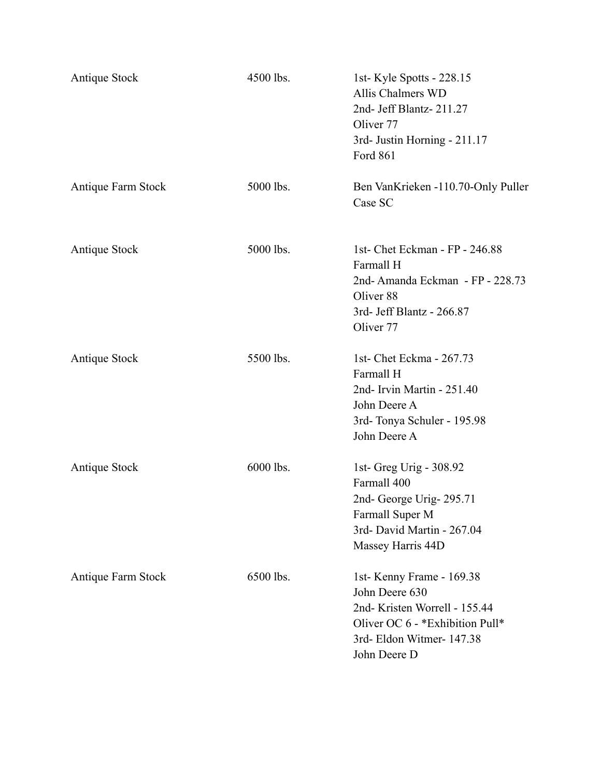| <b>Antique Stock</b> | 4500 lbs. | 1st- Kyle Spotts - 228.15<br>Allis Chalmers WD<br>2nd- Jeff Blantz- 211.27<br>Oliver 77<br>3rd- Justin Horning - 211.17<br><b>Ford 861</b>                  |
|----------------------|-----------|-------------------------------------------------------------------------------------------------------------------------------------------------------------|
| Antique Farm Stock   | 5000 lbs. | Ben VanKrieken -110.70-Only Puller<br>Case SC                                                                                                               |
| <b>Antique Stock</b> | 5000 lbs. | 1st- Chet Eckman - FP - 246.88<br>Farmall H<br>2nd-Amanda Eckman - FP - 228.73<br>Oliver 88<br>3rd- Jeff Blantz - 266.87<br>Oliver 77                       |
| <b>Antique Stock</b> | 5500 lbs. | 1st- Chet Eckma - 267.73<br>Farmall H<br>2nd- Irvin Martin - 251.40<br>John Deere A<br>3rd-Tonya Schuler - 195.98<br>John Deere A                           |
| <b>Antique Stock</b> | 6000 lbs. | 1st- Greg Urig - 308.92<br>Farmall 400<br>2nd- George Urig-295.71<br>Farmall Super M<br>3rd- David Martin - 267.04<br>Massey Harris 44D                     |
| Antique Farm Stock   | 6500 lbs. | 1st-Kenny Frame - 169.38<br>John Deere 630<br>2nd-Kristen Worrell - 155.44<br>Oliver OC 6 - * Exhibition Pull*<br>3rd- Eldon Witmer- 147.38<br>John Deere D |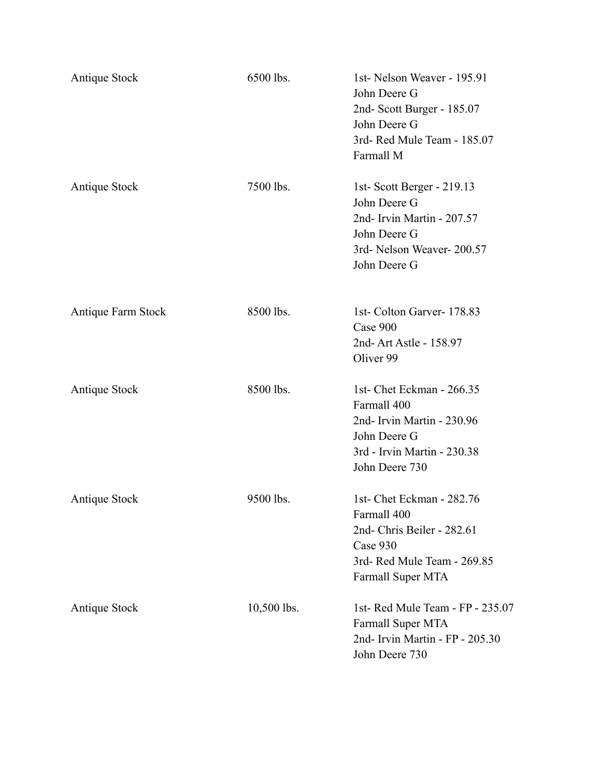| Antique Stock        | 6500 lbs.   | 1st-Nelson Weaver - 195.91<br>John Deere G<br>2nd- Scott Burger - 185.07<br>John Deere G<br>3rd-Red Mule Team - 185.07<br>Farmall M           |
|----------------------|-------------|-----------------------------------------------------------------------------------------------------------------------------------------------|
| <b>Antique Stock</b> | 7500 lbs.   | 1st-Scott Berger - 219.13<br>John Deere G<br>2nd- Irvin Martin - 207.57<br>John Deere G<br>3rd- Nelson Weaver-200.57<br>John Deere G          |
| Antique Farm Stock   | 8500 lbs.   | 1st- Colton Garver-178.83<br>Case 900<br>2nd-Art Astle - 158.97<br>Oliver 99                                                                  |
| <b>Antique Stock</b> | 8500 lbs.   | 1st- Chet Eckman - 266.35<br>Farmall 400<br>2nd-Irvin Martin - 230.96<br>John Deere G<br>3rd - Irvin Martin - 230.38<br>John Deere 730        |
| <b>Antique Stock</b> | 9500 lbs.   | 1st- Chet Eckman - 282.76<br>Farmall 400<br>2nd- Chris Beiler - 282.61<br>Case 930<br>3rd- Red Mule Team - 269.85<br><b>Farmall Super MTA</b> |
| <b>Antique Stock</b> | 10,500 lbs. | 1st-Red Mule Team - FP - 235.07<br><b>Farmall Super MTA</b><br>2nd- Irvin Martin - FP - 205.30<br>John Deere 730                              |